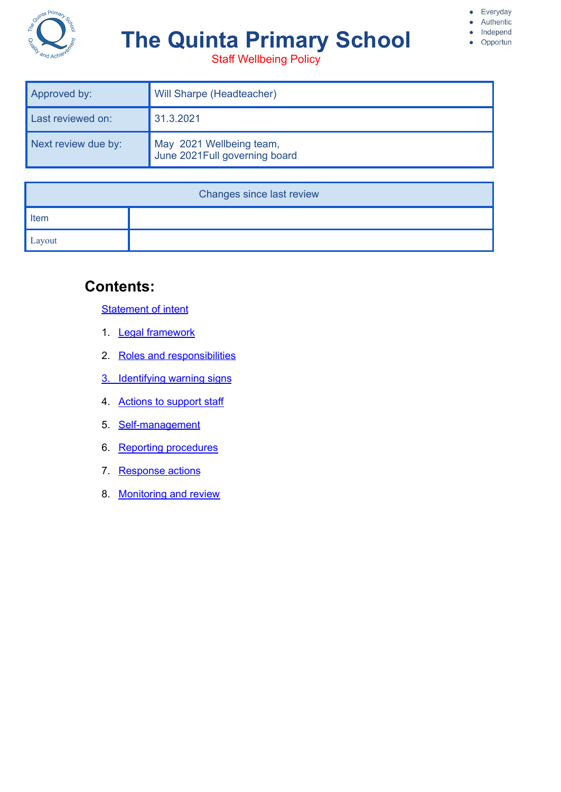

# **The Quinta Primary School**

Staff Wellbeing Policy

· Everyday Authentic

> Independ Opportun

 $\bullet$ 

| Approved by:        | Will Sharpe (Headteacher)                                  |
|---------------------|------------------------------------------------------------|
| Last reviewed on:   | 31.3.2021                                                  |
| Next review due by: | May 2021 Wellbeing team,<br>June 2021 Full governing board |

| Changes since last review |  |  |  |  |
|---------------------------|--|--|--|--|
| Item                      |  |  |  |  |
| Layout                    |  |  |  |  |

# **Contents:**

**[Statement](#page-1-0) of intent** 

- 1. **Legal [framework](#page-2-0)**
- 2. Roles and [responsibilities](#page-2-1)
- 3. [Identifying](#page-4-0) warning signs
- 4. Actions to [support](#page-6-0) staff
- 5. [Self-management](#page-7-0)
- 6. Reporting [procedures](#page-8-0)
- 7. [Response](#page-9-0) actions
- 8. [Monitoring](#page-9-1) and review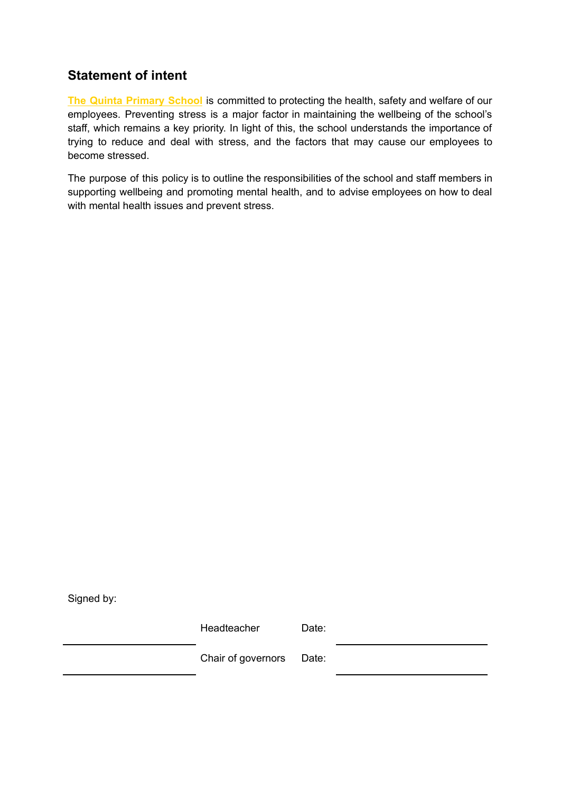# <span id="page-1-0"></span>**Statement of intent**

**The Quinta Primary School** is committed to protecting the health, safety and welfare of our employees. Preventing stress is a major factor in maintaining the wellbeing of the school's staff, which remains a key priority. In light of this, the school understands the importance of trying to reduce and deal with stress, and the factors that may cause our employees to become stressed.

The purpose of this policy is to outline the responsibilities of the school and staff members in supporting wellbeing and promoting mental health, and to advise employees on how to deal with mental health issues and prevent stress.

Signed by:

| Headteacher              | Date: |  |
|--------------------------|-------|--|
| Chair of governors Date: |       |  |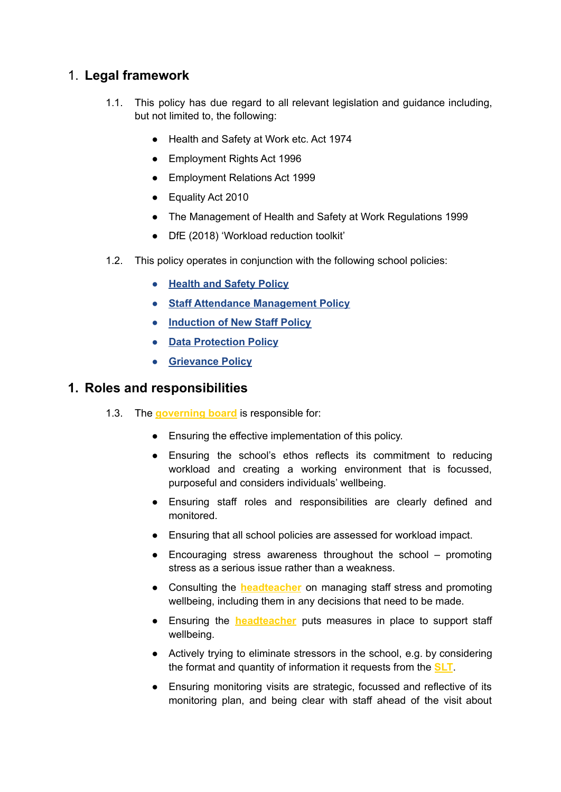## <span id="page-2-0"></span>1. **Legal framework**

- 1.1. This policy has due regard to all relevant legislation and guidance including, but not limited to, the following:
	- Health and Safety at Work etc. Act 1974
	- Employment Rights Act 1996
	- Employment Relations Act 1999
	- Equality Act 2010
	- The Management of Health and Safety at Work Regulations 1999
	- DfE (2018) 'Workload reduction toolkit'
- 1.2. This policy operates in conjunction with the following school policies:
	- **Health and Safety Policy**
	- **Staff Attendance Management Policy**
	- **Induction of New Staff Policy**
	- **Data Protection Policy**
	- **Grievance Policy**

## <span id="page-2-1"></span>**1. Roles and responsibilities**

- 1.3. The **governing board** is responsible for:
	- Ensuring the effective implementation of this policy.
	- Ensuring the school's ethos reflects its commitment to reducing workload and creating a working environment that is focussed, purposeful and considers individuals' wellbeing.
	- Ensuring staff roles and responsibilities are clearly defined and monitored.
	- Ensuring that all school policies are assessed for workload impact.
	- Encouraging stress awareness throughout the school promoting stress as a serious issue rather than a weakness.
	- Consulting the **headteacher** on managing staff stress and promoting wellbeing, including them in any decisions that need to be made.
	- Ensuring the **headteacher** puts measures in place to support staff wellbeing.
	- Actively trying to eliminate stressors in the school, e.g. by considering the format and quantity of information it requests from the **SLT**.
	- Ensuring monitoring visits are strategic, focussed and reflective of its monitoring plan, and being clear with staff ahead of the visit about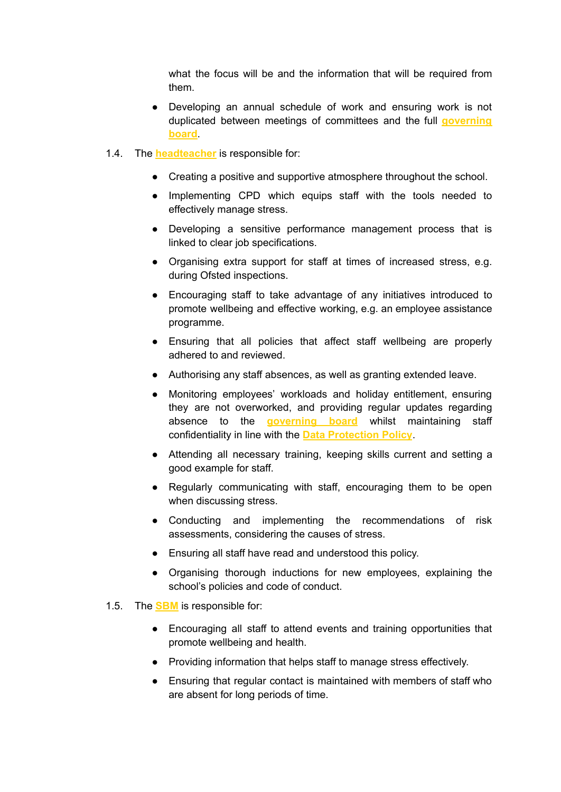what the focus will be and the information that will be required from them.

- Developing an annual schedule of work and ensuring work is not duplicated between meetings of committees and the full **governing board**.
- 1.4. The **headteacher** is responsible for:
	- Creating a positive and supportive atmosphere throughout the school.
	- Implementing CPD which equips staff with the tools needed to effectively manage stress.
	- Developing a sensitive performance management process that is linked to clear job specifications.
	- Organising extra support for staff at times of increased stress, e.g. during Ofsted inspections.
	- Encouraging staff to take advantage of any initiatives introduced to promote wellbeing and effective working, e.g. an employee assistance programme.
	- Ensuring that all policies that affect staff wellbeing are properly adhered to and reviewed.
	- Authorising any staff absences, as well as granting extended leave.
	- Monitoring employees' workloads and holiday entitlement, ensuring they are not overworked, and providing regular updates regarding absence to the **governing board** whilst maintaining staff confidentiality in line with the **Data Protection Policy**.
	- Attending all necessary training, keeping skills current and setting a good example for staff.
	- Regularly communicating with staff, encouraging them to be open when discussing stress.
	- Conducting and implementing the recommendations of risk assessments, considering the causes of stress.
	- Ensuring all staff have read and understood this policy.
	- Organising thorough inductions for new employees, explaining the school's policies and code of conduct.
- 1.5. The **SBM** is responsible for:
	- Encouraging all staff to attend events and training opportunities that promote wellbeing and health.
	- Providing information that helps staff to manage stress effectively.
	- Ensuring that regular contact is maintained with members of staff who are absent for long periods of time.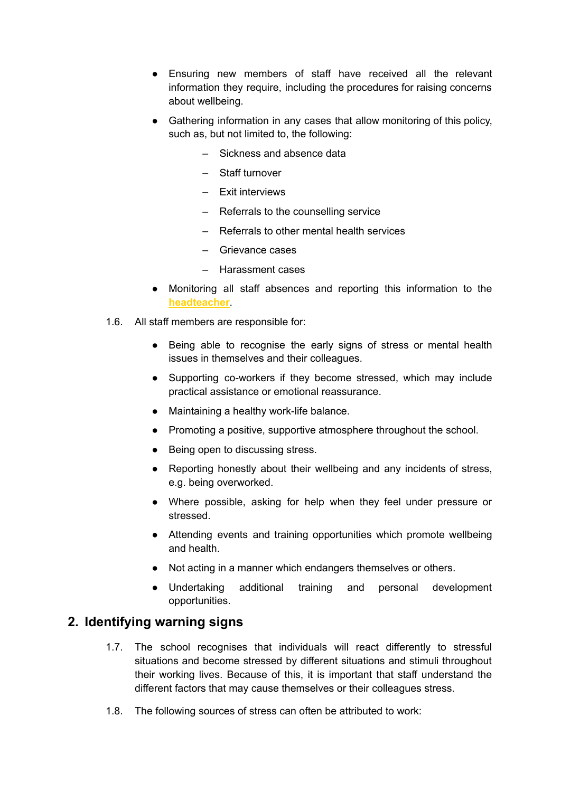- Ensuring new members of staff have received all the relevant information they require, including the procedures for raising concerns about wellbeing.
- Gathering information in any cases that allow monitoring of this policy, such as, but not limited to, the following:
	- Sickness and absence data
	- Staff turnover
	- Exit interviews
	- Referrals to the counselling service
	- Referrals to other mental health services
	- Grievance cases
	- Harassment cases
- Monitoring all staff absences and reporting this information to the **headteacher**.
- 1.6. All staff members are responsible for:
	- Being able to recognise the early signs of stress or mental health issues in themselves and their colleagues.
	- Supporting co-workers if they become stressed, which may include practical assistance or emotional reassurance.
	- Maintaining a healthy work-life balance.
	- Promoting a positive, supportive atmosphere throughout the school.
	- Being open to discussing stress.
	- Reporting honestly about their wellbeing and any incidents of stress, e.g. being overworked.
	- Where possible, asking for help when they feel under pressure or stressed.
	- Attending events and training opportunities which promote wellbeing and health.
	- Not acting in a manner which endangers themselves or others.
	- Undertaking additional training and personal development opportunities.

## <span id="page-4-0"></span>**2. Identifying warning signs**

- 1.7. The school recognises that individuals will react differently to stressful situations and become stressed by different situations and stimuli throughout their working lives. Because of this, it is important that staff understand the different factors that may cause themselves or their colleagues stress.
- 1.8. The following sources of stress can often be attributed to work: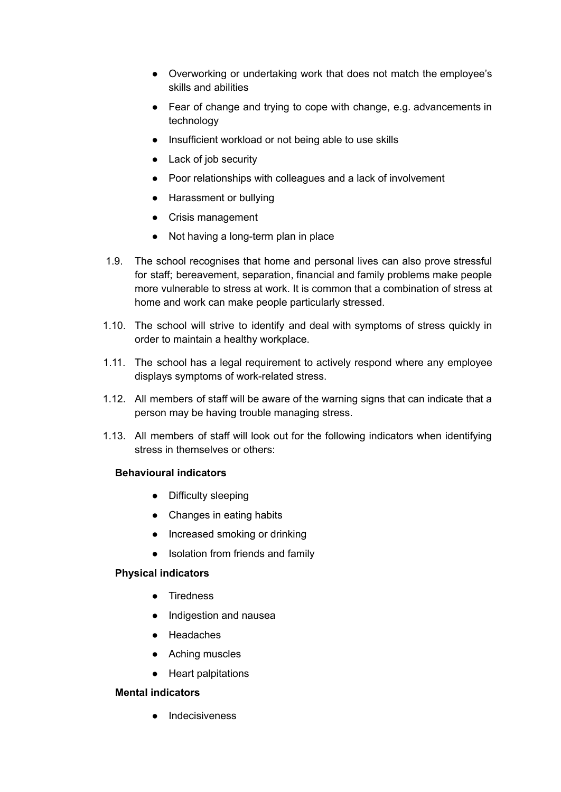- Overworking or undertaking work that does not match the employee's skills and abilities
- Fear of change and trying to cope with change, e.g. advancements in technology
- Insufficient workload or not being able to use skills
- Lack of job security
- Poor relationships with colleagues and a lack of involvement
- Harassment or bullying
- Crisis management
- Not having a long-term plan in place
- 1.9. The school recognises that home and personal lives can also prove stressful for staff; bereavement, separation, financial and family problems make people more vulnerable to stress at work. It is common that a combination of stress at home and work can make people particularly stressed.
- 1.10. The school will strive to identify and deal with symptoms of stress quickly in order to maintain a healthy workplace.
- 1.11. The school has a legal requirement to actively respond where any employee displays symptoms of work-related stress.
- 1.12. All members of staff will be aware of the warning signs that can indicate that a person may be having trouble managing stress.
- 1.13. All members of staff will look out for the following indicators when identifying stress in themselves or others:

#### **Behavioural indicators**

- Difficulty sleeping
- Changes in eating habits
- Increased smoking or drinking
- Isolation from friends and family

#### **Physical indicators**

- Tiredness
- Indigestion and nausea
- Headaches
- Aching muscles
- Heart palpitations

#### **Mental indicators**

● Indecisiveness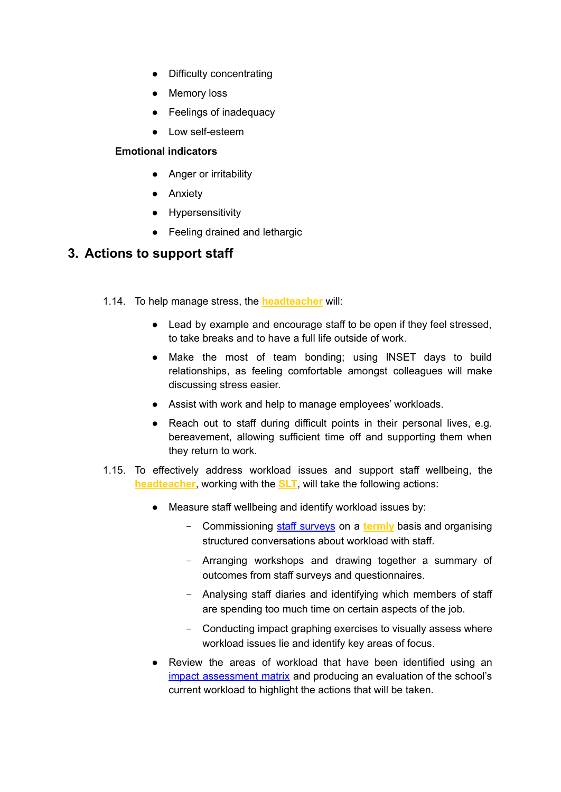- Difficulty concentrating
- Memory loss
- Feelings of inadequacy
- Low self-esteem

#### **Emotional indicators**

- Anger or irritability
- Anxiety
- Hypersensitivity
- Feeling drained and lethargic

## <span id="page-6-0"></span>**3. Actions to support staff**

- 1.14. To help manage stress, the **headteacher** will:
	- Lead by example and encourage staff to be open if they feel stressed. to take breaks and to have a full life outside of work.
	- Make the most of team bonding; using INSET days to build relationships, as feeling comfortable amongst colleagues will make discussing stress easier.
	- Assist with work and help to manage employees' workloads.
	- Reach out to staff during difficult points in their personal lives, e.g. bereavement, allowing sufficient time off and supporting them when they return to work.
- 1.15. To effectively address workload issues and support staff wellbeing, the **headteacher**, working with the **SLT**, will take the following actions:
	- Measure staff wellbeing and identify workload issues by:
		- Commissioning staff [surveys](https://www.theschoolbus.net/article/teacher-workload-survey/6248) on a **termly** basis and organising structured conversations about workload with staff.
		- Arranging workshops and drawing together a summary of outcomes from staff surveys and questionnaires.
		- Analysing staff diaries and identifying which members of staff are spending too much time on certain aspects of the job.
		- Conducting impact graphing exercises to visually assess where workload issues lie and identify key areas of focus.
	- Review the areas of workload that have been identified using an impact [assessment](https://www.theschoolbus.net/article/workload-impact-assessment-matrix/6251) matrix and producing an evaluation of the school's current workload to highlight the actions that will be taken.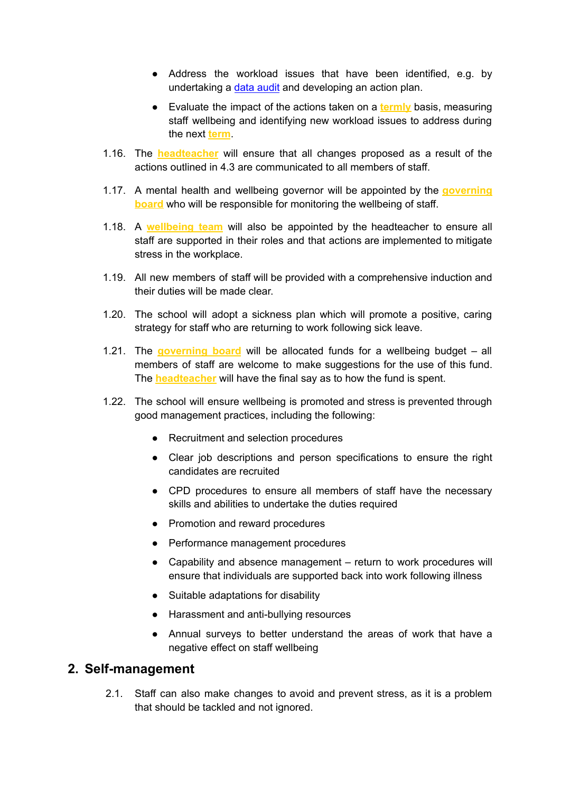- Address the workload issues that have been identified, e.g. by undertaking a data [audit](https://www.theschoolbus.net/article/data-collection-audit-and-action-plan/6246) and developing an action plan.
- Evaluate the impact of the actions taken on a **termly** basis, measuring staff wellbeing and identifying new workload issues to address during the next **term**.
- 1.16. The **headteacher** will ensure that all changes proposed as a result of the actions outlined in 4.3 are communicated to all members of staff.
- 1.17. A mental health and wellbeing governor will be appointed by the **governing board** who will be responsible for monitoring the wellbeing of staff.
- 1.18. A **wellbeing team** will also be appointed by the headteacher to ensure all staff are supported in their roles and that actions are implemented to mitigate stress in the workplace.
- 1.19. All new members of staff will be provided with a comprehensive induction and their duties will be made clear.
- 1.20. The school will adopt a sickness plan which will promote a positive, caring strategy for staff who are returning to work following sick leave.
- 1.21. The **governing board** will be allocated funds for a wellbeing budget all members of staff are welcome to make suggestions for the use of this fund. The **headteacher** will have the final say as to how the fund is spent.
- 1.22. The school will ensure wellbeing is promoted and stress is prevented through good management practices, including the following:
	- Recruitment and selection procedures
	- Clear job descriptions and person specifications to ensure the right candidates are recruited
	- CPD procedures to ensure all members of staff have the necessary skills and abilities to undertake the duties required
	- Promotion and reward procedures
	- Performance management procedures
	- Capability and absence management return to work procedures will ensure that individuals are supported back into work following illness
	- Suitable adaptations for disability
	- Harassment and anti-bullying resources
	- Annual surveys to better understand the areas of work that have a negative effect on staff wellbeing

#### <span id="page-7-0"></span>**2. Self-management**

2.1. Staff can also make changes to avoid and prevent stress, as it is a problem that should be tackled and not ignored.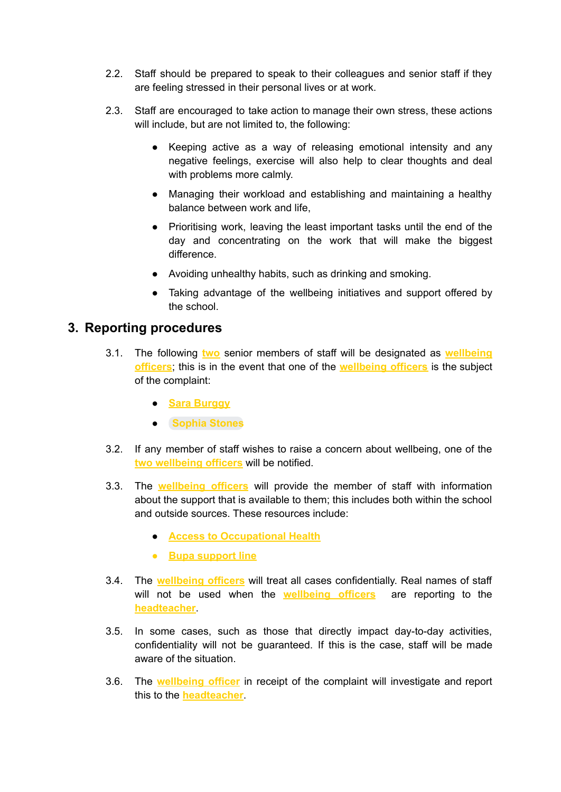- 2.2. Staff should be prepared to speak to their colleagues and senior staff if they are feeling stressed in their personal lives or at work.
- 2.3. Staff are encouraged to take action to manage their own stress, these actions will include, but are not limited to, the following:
	- Keeping active as a way of releasing emotional intensity and any negative feelings, exercise will also help to clear thoughts and deal with problems more calmly.
	- Managing their workload and establishing and maintaining a healthy balance between work and life,
	- Prioritising work, leaving the least important tasks until the end of the day and concentrating on the work that will make the biggest difference.
	- Avoiding unhealthy habits, such as drinking and smoking.
	- Taking advantage of the wellbeing initiatives and support offered by the school.

## <span id="page-8-0"></span>**3. Reporting procedures**

- 3.1. The following **two** senior members of staff will be designated as **wellbeing officers**; this is in the event that one of the **wellbeing officers** is the subject of the complaint:
	- **Sara Burggy**
	- **[Sophia](mailto:sstones@thequinta.cheshire.sch.uk) Stones**
- 3.2. If any member of staff wishes to raise a concern about wellbeing, one of the **two wellbeing officers** will be notified.
- 3.3. The **wellbeing officers** will provide the member of staff with information about the support that is available to them; this includes both within the school and outside sources. These resources include:
	- **Access to Occupational Health**
	- **● Bupa support line**
- 3.4. The **wellbeing officers** will treat all cases confidentially. Real names of staff will not be used when the **wellbeing officers** are reporting to the **headteacher**.
- 3.5. In some cases, such as those that directly impact day-to-day activities, confidentiality will not be guaranteed. If this is the case, staff will be made aware of the situation.
- 3.6. The **wellbeing officer** in receipt of the complaint will investigate and report this to the **headteacher**.